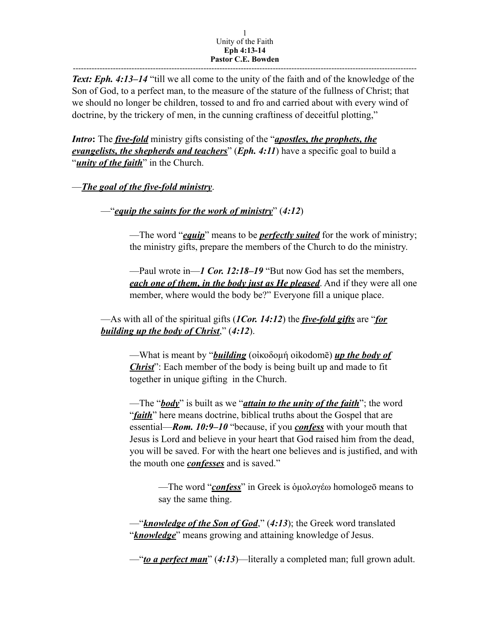---------------------------------------------------------------------------------------------------------------------------------

**Text: Eph. 4:13–14** "till we all come to the unity of the faith and of the knowledge of the Son of God, to a perfect man, to the measure of the stature of the fullness of Christ; that we should no longer be children, tossed to and fro and carried about with every wind of doctrine, by the trickery of men, in the cunning craftiness of deceitful plotting,"

*Intro*: The *five-fold* ministry gifts consisting of the "*apostles, the prophets, the evangelists, the shepherds and teachers*" (*Eph. 4:11*) have a specific goal to build a "*unity of the faith*" in the Church.

## —*The goal of the five-fold ministry*.

## —"*equip the saints for the work of ministry*" (*4:12*)

—The word "*equip*" means to be *perfectly suited* for the work of ministry; the ministry gifts, prepare the members of the Church to do the ministry.

—Paul wrote in—*1 Cor. 12:18–19* "But now God has set the members, *each one of them, in the body just as He pleased*. And if they were all one member, where would the body be?" Everyone fill a unique place.

## —As with all of the spiritual gifts (*1Cor. 14:12*) the *five-fold gifts* are "*for building up the body of Christ*," (*4:12*).

—What is meant by "*building* (οἰκοδοµή oikodomē) *up the body of Christ*": Each member of the body is being built up and made to fit together in unique gifting in the Church.

—The "*body*" is built as we "*attain to the unity of the faith*"; the word "*faith*" here means doctrine, biblical truths about the Gospel that are essential—*Rom. 10:9–10* "because, if you *confess* with your mouth that Jesus is Lord and believe in your heart that God raised him from the dead, you will be saved. For with the heart one believes and is justified, and with the mouth one *confesses* and is saved."

—The word "*confess*" in Greek is ὁµολογέω homologeō means to say the same thing.

—"*knowledge of the Son of God*," (*4:13*); the Greek word translated "*knowledge*" means growing and attaining knowledge of Jesus.

—"*to a perfect man*" (*4:13*)—literally a completed man; full grown adult.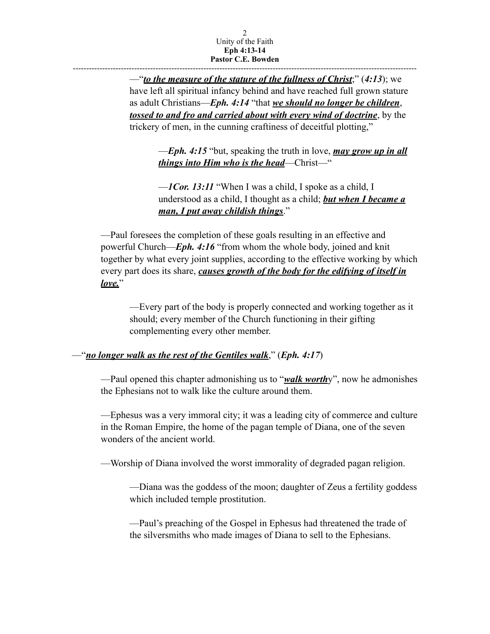--------------------------------------------------------------------------------------------------------------------------------- —"*to the measure of the stature of the fullness of Christ*;" (*4:13*); we have left all spiritual infancy behind and have reached full grown stature as adult Christians—*Eph. 4:14* "that *we should no longer be children*, *tossed to and fro and carried about with every wind of doctrine*, by the trickery of men, in the cunning craftiness of deceitful plotting,"

> —*Eph. 4:15* "but, speaking the truth in love, *may grow up in all things into Him who is the head*—Christ—"

> —*1Cor. 13:11* "When I was a child, I spoke as a child, I understood as a child, I thought as a child; *but when I became a man, I put away childish things*."

—Paul foresees the completion of these goals resulting in an effective and powerful Church—*Eph. 4:16* "from whom the whole body, joined and knit together by what every joint supplies, according to the effective working by which every part does its share, *causes growth of the body for the edifying of itself in*  l<u>ove.</u>"

—Every part of the body is properly connected and working together as it should; every member of the Church functioning in their gifting complementing every other member.

## —"*no longer walk as the rest of the Gentiles walk*," (*Eph. 4:17*)

—Paul opened this chapter admonishing us to "*walk worth*y", now he admonishes the Ephesians not to walk like the culture around them.

—Ephesus was a very immoral city; it was a leading city of commerce and culture in the Roman Empire, the home of the pagan temple of Diana, one of the seven wonders of the ancient world.

—Worship of Diana involved the worst immorality of degraded pagan religion.

—Diana was the goddess of the moon; daughter of Zeus a fertility goddess which included temple prostitution.

—Paul's preaching of the Gospel in Ephesus had threatened the trade of the silversmiths who made images of Diana to sell to the Ephesians.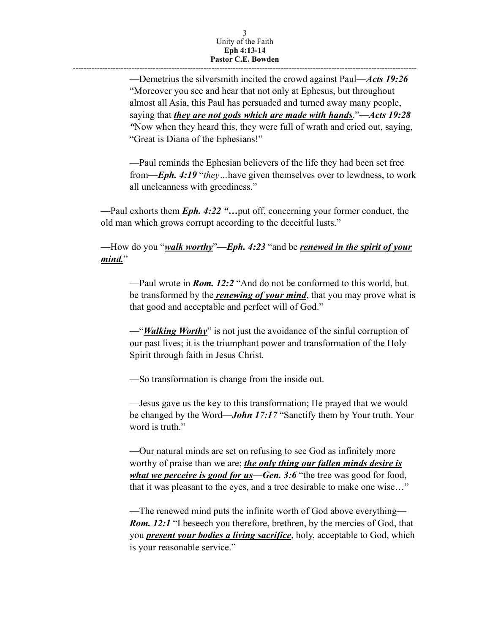---------------------------------------------------------------------------------------------------------------------------------

—Demetrius the silversmith incited the crowd against Paul—*Acts 19:26* "Moreover you see and hear that not only at Ephesus, but throughout almost all Asia, this Paul has persuaded and turned away many people, saying that *they are not gods which are made with hands*."—*Acts 19:28 "*Now when they heard this, they were full of wrath and cried out, saying, "Great is Diana of the Ephesians!"

—Paul reminds the Ephesian believers of the life they had been set free from—*Eph. 4:19* "*they…*have given themselves over to lewdness, to work all uncleanness with greediness."

—Paul exhorts them *Eph. 4:22 "…*put off, concerning your former conduct, the old man which grows corrupt according to the deceitful lusts."

—How do you "*walk worthy*"—*Eph. 4:23* "and be *renewed in the spirit of your mind.*"

—Paul wrote in *Rom. 12:2* "And do not be conformed to this world, but be transformed by the *renewing of your mind*, that you may prove what is that good and acceptable and perfect will of God."

—"*Walking Worthy*" is not just the avoidance of the sinful corruption of our past lives; it is the triumphant power and transformation of the Holy Spirit through faith in Jesus Christ.

—So transformation is change from the inside out.

—Jesus gave us the key to this transformation; He prayed that we would be changed by the Word—*John 17:17* "Sanctify them by Your truth. Your word is truth."

—Our natural minds are set on refusing to see God as infinitely more worthy of praise than we are; *the only thing our fallen minds desire is what we perceive is good for us*—*Gen. 3:6* "the tree was good for food, that it was pleasant to the eyes, and a tree desirable to make one wise…"

—The renewed mind puts the infinite worth of God above everything— *Rom.* 12:1 "I beseech you therefore, brethren, by the mercies of God, that you *present your bodies a living sacrifice*, holy, acceptable to God, which is your reasonable service."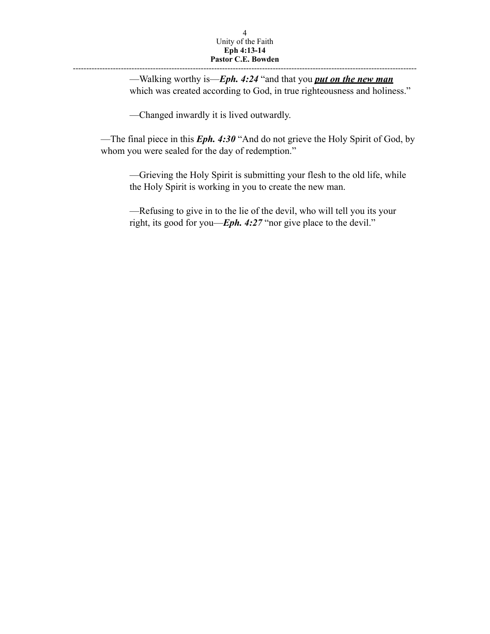---------------------------------------------------------------------------------------------------------------------------------

—Walking worthy is—*Eph. 4:24* "and that you *put on the new man*  which was created according to God, in true righteousness and holiness."

—Changed inwardly it is lived outwardly.

—The final piece in this *Eph. 4:30* "And do not grieve the Holy Spirit of God, by whom you were sealed for the day of redemption."

—Grieving the Holy Spirit is submitting your flesh to the old life, while the Holy Spirit is working in you to create the new man.

—Refusing to give in to the lie of the devil, who will tell you its your right, its good for you—*Eph. 4:27* "nor give place to the devil."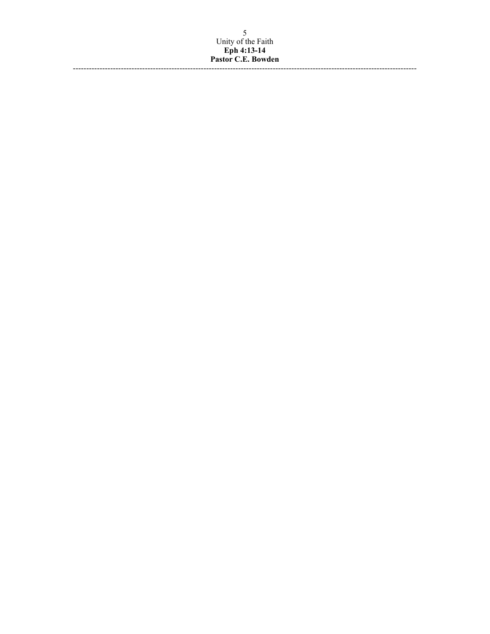5<br>Unity of the Faith<br>Eph 4:13-14<br>Pastor C.E. Bowden